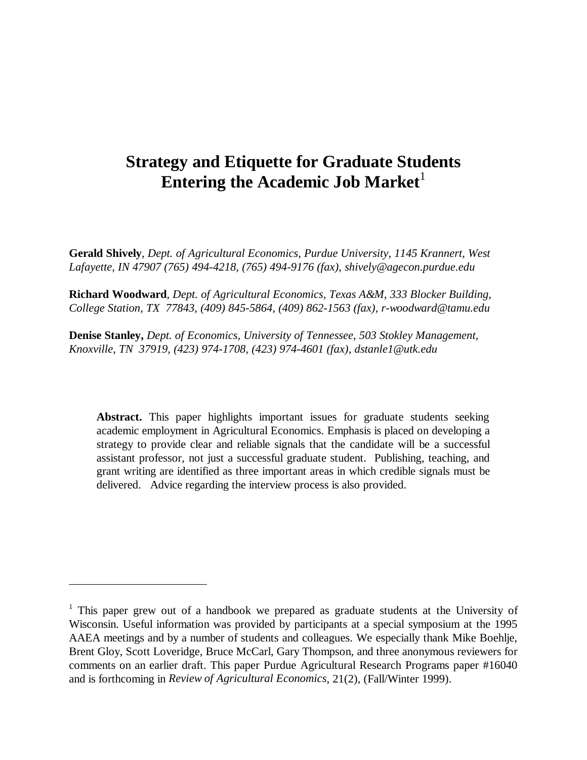# **Strategy and Etiquette for Graduate Students Entering the Academic Job Market**<sup>1</sup>

**Gerald Shively**, *Dept. of Agricultural Economics, Purdue University, 1145 Krannert, West Lafayette, IN 47907 (765) 494-4218, (765) 494-9176 (fax), shively@agecon.purdue.edu*

**Richard Woodward***, Dept. of Agricultural Economics, Texas A&M, 333 Blocker Building, College Station, TX 77843, (409) 845-5864, (409) 862-1563 (fax), r-woodward@tamu.edu*

**Denise Stanley,** *Dept. of Economics, University of Tennessee, 503 Stokley Management, Knoxville, TN 37919, (423) 974-1708, (423) 974-4601 (fax), dstanle1@utk.edu*

**Abstract.** This paper highlights important issues for graduate students seeking academic employment in Agricultural Economics. Emphasis is placed on developing a strategy to provide clear and reliable signals that the candidate will be a successful assistant professor, not just a successful graduate student. Publishing, teaching, and grant writing are identified as three important areas in which credible signals must be delivered. Advice regarding the interview process is also provided.

 $\overline{a}$ 

<sup>&</sup>lt;sup>1</sup> This paper grew out of a handbook we prepared as graduate students at the University of Wisconsin. Useful information was provided by participants at a special symposium at the 1995 AAEA meetings and by a number of students and colleagues. We especially thank Mike Boehlje, Brent Gloy, Scott Loveridge, Bruce McCarl, Gary Thompson, and three anonymous reviewers for comments on an earlier draft. This paper Purdue Agricultural Research Programs paper #16040 and is forthcoming in *Review of Agricultural Economics*, 21(2), (Fall/Winter 1999).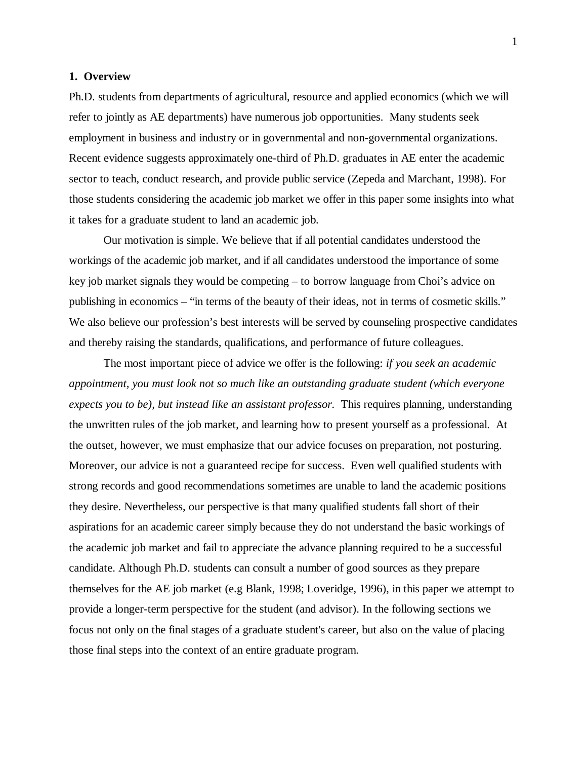#### **1. Overview**

Ph.D. students from departments of agricultural, resource and applied economics (which we will refer to jointly as AE departments) have numerous job opportunities. Many students seek employment in business and industry or in governmental and non-governmental organizations. Recent evidence suggests approximately one-third of Ph.D. graduates in AE enter the academic sector to teach, conduct research, and provide public service (Zepeda and Marchant, 1998). For those students considering the academic job market we offer in this paper some insights into what it takes for a graduate student to land an academic job.

Our motivation is simple. We believe that if all potential candidates understood the workings of the academic job market, and if all candidates understood the importance of some key job market signals they would be competing – to borrow language from Choi's advice on publishing in economics – "in terms of the beauty of their ideas, not in terms of cosmetic skills." We also believe our profession's best interests will be served by counseling prospective candidates and thereby raising the standards, qualifications, and performance of future colleagues.

The most important piece of advice we offer is the following: *if you seek an academic appointment, you must look not so much like an outstanding graduate student (which everyone expects you to be), but instead like an assistant professor.* This requires planning, understanding the unwritten rules of the job market, and learning how to present yourself as a professional. At the outset, however, we must emphasize that our advice focuses on preparation, not posturing. Moreover, our advice is not a guaranteed recipe for success. Even well qualified students with strong records and good recommendations sometimes are unable to land the academic positions they desire. Nevertheless, our perspective is that many qualified students fall short of their aspirations for an academic career simply because they do not understand the basic workings of the academic job market and fail to appreciate the advance planning required to be a successful candidate. Although Ph.D. students can consult a number of good sources as they prepare themselves for the AE job market (e.g Blank, 1998; Loveridge, 1996), in this paper we attempt to provide a longer-term perspective for the student (and advisor). In the following sections we focus not only on the final stages of a graduate student's career, but also on the value of placing those final steps into the context of an entire graduate program.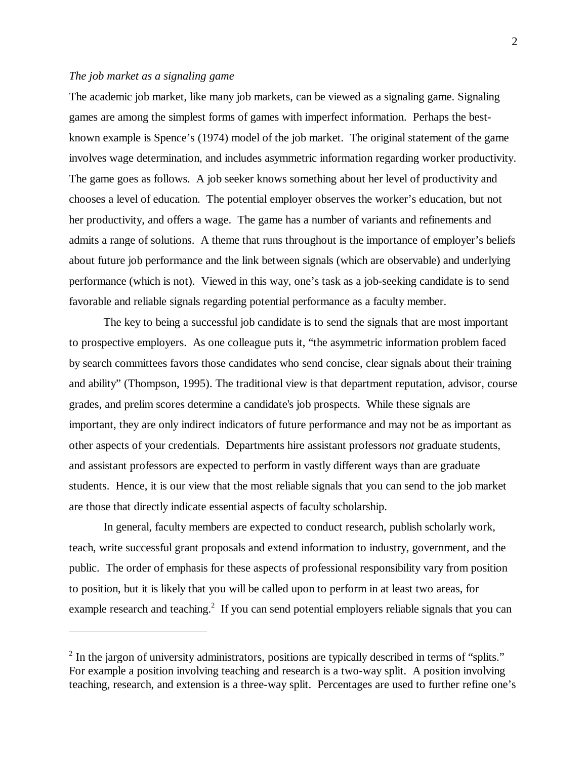#### *The job market as a signaling game*

 $\overline{a}$ 

The academic job market, like many job markets, can be viewed as a signaling game. Signaling games are among the simplest forms of games with imperfect information. Perhaps the bestknown example is Spence's (1974) model of the job market. The original statement of the game involves wage determination, and includes asymmetric information regarding worker productivity. The game goes as follows. A job seeker knows something about her level of productivity and chooses a level of education. The potential employer observes the worker's education, but not her productivity, and offers a wage. The game has a number of variants and refinements and admits a range of solutions. A theme that runs throughout is the importance of employer's beliefs about future job performance and the link between signals (which are observable) and underlying performance (which is not). Viewed in this way, one's task as a job-seeking candidate is to send favorable and reliable signals regarding potential performance as a faculty member.

The key to being a successful job candidate is to send the signals that are most important to prospective employers. As one colleague puts it, "the asymmetric information problem faced by search committees favors those candidates who send concise, clear signals about their training and ability" (Thompson, 1995). The traditional view is that department reputation, advisor, course grades, and prelim scores determine a candidate's job prospects. While these signals are important, they are only indirect indicators of future performance and may not be as important as other aspects of your credentials. Departments hire assistant professors *not* graduate students, and assistant professors are expected to perform in vastly different ways than are graduate students. Hence, it is our view that the most reliable signals that you can send to the job market are those that directly indicate essential aspects of faculty scholarship.

In general, faculty members are expected to conduct research, publish scholarly work, teach, write successful grant proposals and extend information to industry, government, and the public. The order of emphasis for these aspects of professional responsibility vary from position to position, but it is likely that you will be called upon to perform in at least two areas, for example research and teaching.<sup>2</sup> If you can send potential employers reliable signals that you can

 $2$  In the jargon of university administrators, positions are typically described in terms of "splits." For example a position involving teaching and research is a two-way split. A position involving teaching, research, and extension is a three-way split. Percentages are used to further refine one's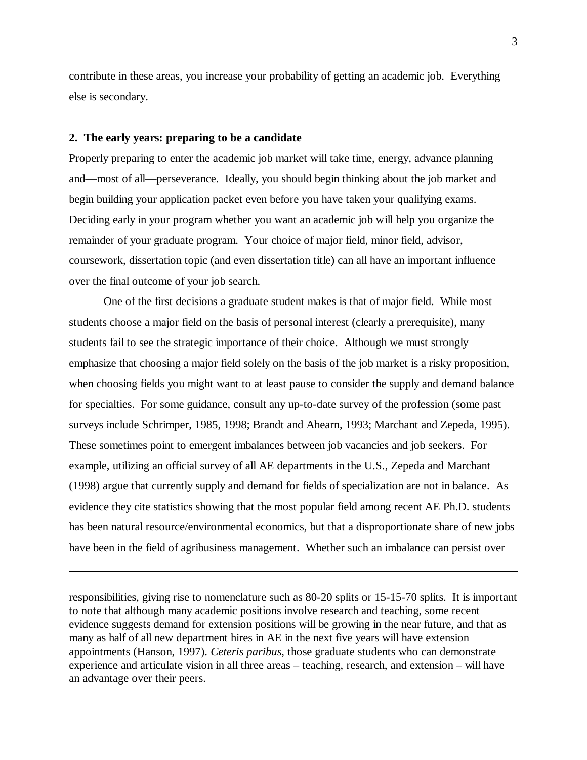contribute in these areas, you increase your probability of getting an academic job. Everything else is secondary.

# **2. The early years: preparing to be a candidate**

 $\overline{a}$ 

Properly preparing to enter the academic job market will take time, energy, advance planning and—most of all—perseverance. Ideally, you should begin thinking about the job market and begin building your application packet even before you have taken your qualifying exams. Deciding early in your program whether you want an academic job will help you organize the remainder of your graduate program. Your choice of major field, minor field, advisor, coursework, dissertation topic (and even dissertation title) can all have an important influence over the final outcome of your job search.

One of the first decisions a graduate student makes is that of major field. While most students choose a major field on the basis of personal interest (clearly a prerequisite), many students fail to see the strategic importance of their choice. Although we must strongly emphasize that choosing a major field solely on the basis of the job market is a risky proposition, when choosing fields you might want to at least pause to consider the supply and demand balance for specialties. For some guidance, consult any up-to-date survey of the profession (some past surveys include Schrimper, 1985, 1998; Brandt and Ahearn, 1993; Marchant and Zepeda, 1995). These sometimes point to emergent imbalances between job vacancies and job seekers. For example, utilizing an official survey of all AE departments in the U.S., Zepeda and Marchant (1998) argue that currently supply and demand for fields of specialization are not in balance. As evidence they cite statistics showing that the most popular field among recent AE Ph.D. students has been natural resource/environmental economics, but that a disproportionate share of new jobs have been in the field of agribusiness management. Whether such an imbalance can persist over

responsibilities, giving rise to nomenclature such as 80-20 splits or 15-15-70 splits. It is important to note that although many academic positions involve research and teaching, some recent evidence suggests demand for extension positions will be growing in the near future, and that as many as half of all new department hires in AE in the next five years will have extension appointments (Hanson, 1997). *Ceteris paribus*, those graduate students who can demonstrate experience and articulate vision in all three areas – teaching, research, and extension – will have an advantage over their peers.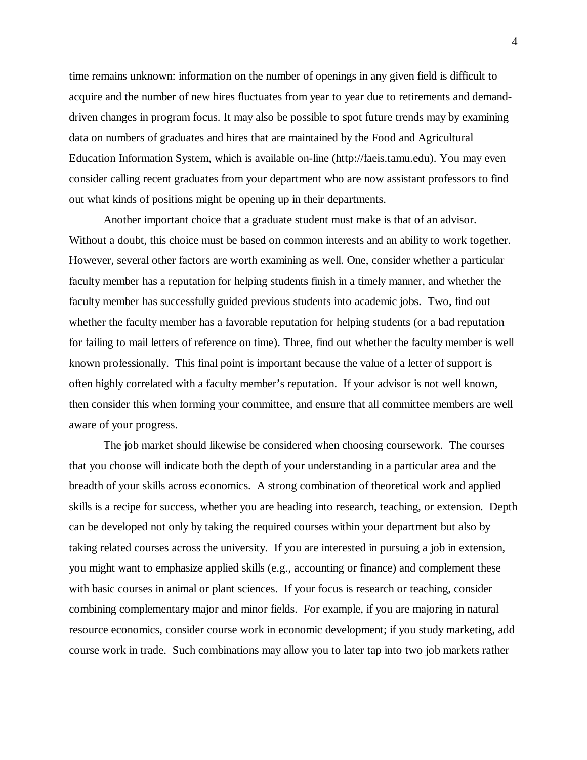time remains unknown: information on the number of openings in any given field is difficult to acquire and the number of new hires fluctuates from year to year due to retirements and demanddriven changes in program focus. It may also be possible to spot future trends may by examining data on numbers of graduates and hires that are maintained by the Food and Agricultural Education Information System, which is available on-line (http://faeis.tamu.edu). You may even consider calling recent graduates from your department who are now assistant professors to find out what kinds of positions might be opening up in their departments.

Another important choice that a graduate student must make is that of an advisor. Without a doubt, this choice must be based on common interests and an ability to work together. However, several other factors are worth examining as well. One, consider whether a particular faculty member has a reputation for helping students finish in a timely manner, and whether the faculty member has successfully guided previous students into academic jobs. Two, find out whether the faculty member has a favorable reputation for helping students (or a bad reputation for failing to mail letters of reference on time). Three, find out whether the faculty member is well known professionally. This final point is important because the value of a letter of support is often highly correlated with a faculty member's reputation. If your advisor is not well known, then consider this when forming your committee, and ensure that all committee members are well aware of your progress.

The job market should likewise be considered when choosing coursework. The courses that you choose will indicate both the depth of your understanding in a particular area and the breadth of your skills across economics. A strong combination of theoretical work and applied skills is a recipe for success, whether you are heading into research, teaching, or extension. Depth can be developed not only by taking the required courses within your department but also by taking related courses across the university. If you are interested in pursuing a job in extension, you might want to emphasize applied skills (e.g., accounting or finance) and complement these with basic courses in animal or plant sciences. If your focus is research or teaching, consider combining complementary major and minor fields. For example, if you are majoring in natural resource economics, consider course work in economic development; if you study marketing, add course work in trade. Such combinations may allow you to later tap into two job markets rather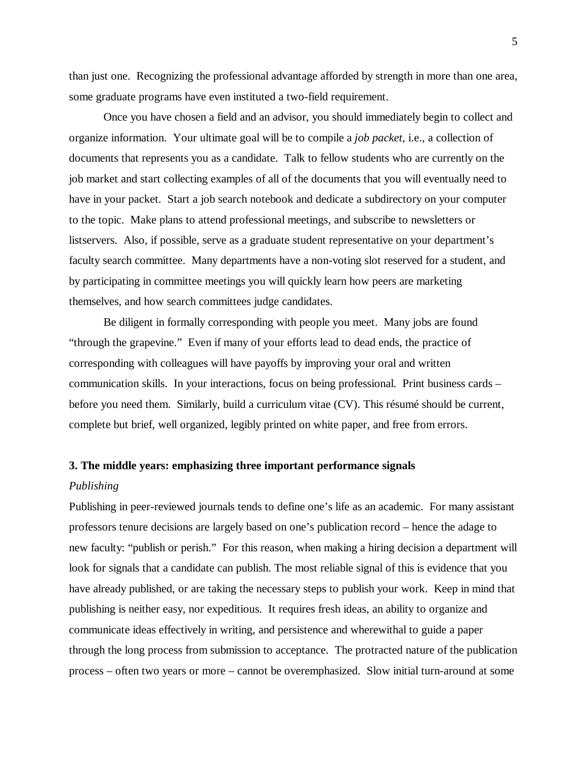than just one. Recognizing the professional advantage afforded by strength in more than one area, some graduate programs have even instituted a two-field requirement.

Once you have chosen a field and an advisor, you should immediately begin to collect and organize information. Your ultimate goal will be to compile a *job packet*, i.e., a collection of documents that represents you as a candidate. Talk to fellow students who are currently on the job market and start collecting examples of all of the documents that you will eventually need to have in your packet. Start a job search notebook and dedicate a subdirectory on your computer to the topic. Make plans to attend professional meetings, and subscribe to newsletters or listservers. Also, if possible, serve as a graduate student representative on your department's faculty search committee. Many departments have a non-voting slot reserved for a student, and by participating in committee meetings you will quickly learn how peers are marketing themselves, and how search committees judge candidates.

Be diligent in formally corresponding with people you meet. Many jobs are found "through the grapevine." Even if many of your efforts lead to dead ends, the practice of corresponding with colleagues will have payoffs by improving your oral and written communication skills. In your interactions, focus on being professional. Print business cards – before you need them. Similarly, build a curriculum vitae (CV). This résumé should be current, complete but brief, well organized, legibly printed on white paper, and free from errors.

# **3. The middle years: emphasizing three important performance signals**

#### *Publishing*

Publishing in peer-reviewed journals tends to define one's life as an academic. For many assistant professors tenure decisions are largely based on one's publication record – hence the adage to new faculty: "publish or perish." For this reason, when making a hiring decision a department will look for signals that a candidate can publish. The most reliable signal of this is evidence that you have already published, or are taking the necessary steps to publish your work. Keep in mind that publishing is neither easy, nor expeditious. It requires fresh ideas, an ability to organize and communicate ideas effectively in writing, and persistence and wherewithal to guide a paper through the long process from submission to acceptance. The protracted nature of the publication process – often two years or more – cannot be overemphasized. Slow initial turn-around at some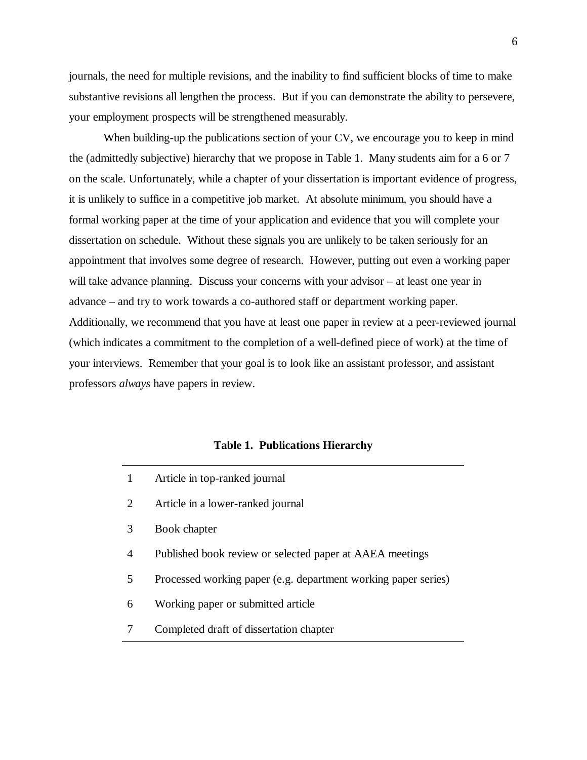journals, the need for multiple revisions, and the inability to find sufficient blocks of time to make substantive revisions all lengthen the process. But if you can demonstrate the ability to persevere, your employment prospects will be strengthened measurably.

When building-up the publications section of your CV, we encourage you to keep in mind the (admittedly subjective) hierarchy that we propose in Table 1. Many students aim for a 6 or 7 on the scale. Unfortunately, while a chapter of your dissertation is important evidence of progress, it is unlikely to suffice in a competitive job market. At absolute minimum, you should have a formal working paper at the time of your application and evidence that you will complete your dissertation on schedule. Without these signals you are unlikely to be taken seriously for an appointment that involves some degree of research. However, putting out even a working paper will take advance planning. Discuss your concerns with your advisor – at least one year in advance – and try to work towards a co-authored staff or department working paper. Additionally, we recommend that you have at least one paper in review at a peer-reviewed journal (which indicates a commitment to the completion of a well-defined piece of work) at the time of your interviews. Remember that your goal is to look like an assistant professor, and assistant professors *always* have papers in review.

#### **Table 1. Publications Hierarchy**

- 1 Article in top-ranked journal
- 2 Article in a lower-ranked journal
- 3 Book chapter
- 4 Published book review or selected paper at AAEA meetings
- 5 Processed working paper (e.g. department working paper series)
- 6 Working paper or submitted article
- 7 Completed draft of dissertation chapter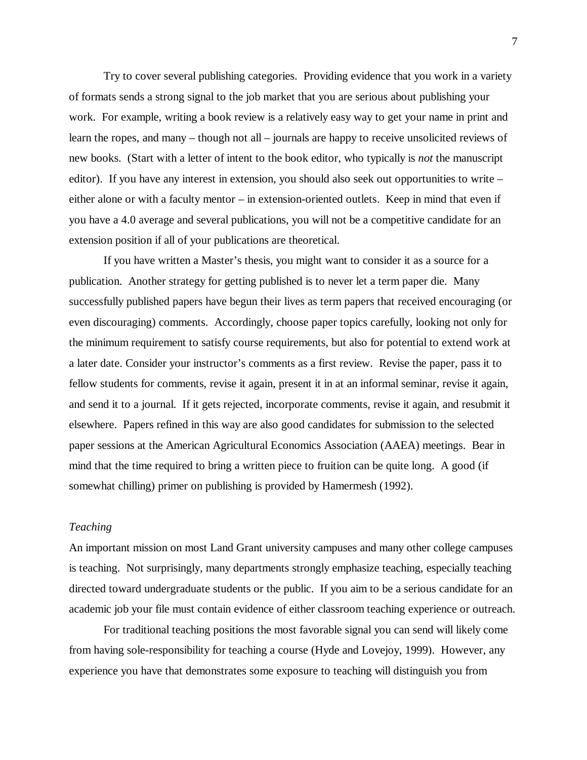Try to cover several publishing categories. Providing evidence that you work in a variety of formats sends a strong signal to the job market that you are serious about publishing your work. For example, writing a book review is a relatively easy way to get your name in print and learn the ropes, and many – though not all – journals are happy to receive unsolicited reviews of new books. (Start with a letter of intent to the book editor, who typically is *not* the manuscript editor). If you have any interest in extension, you should also seek out opportunities to write – either alone or with a faculty mentor – in extension-oriented outlets. Keep in mind that even if you have a 4.0 average and several publications, you will not be a competitive candidate for an extension position if all of your publications are theoretical.

If you have written a Master's thesis, you might want to consider it as a source for a publication. Another strategy for getting published is to never let a term paper die. Many successfully published papers have begun their lives as term papers that received encouraging (or even discouraging) comments. Accordingly, choose paper topics carefully, looking not only for the minimum requirement to satisfy course requirements, but also for potential to extend work at a later date. Consider your instructor's comments as a first review. Revise the paper, pass it to fellow students for comments, revise it again, present it in at an informal seminar, revise it again, and send it to a journal. If it gets rejected, incorporate comments, revise it again, and resubmit it elsewhere. Papers refined in this way are also good candidates for submission to the selected paper sessions at the American Agricultural Economics Association (AAEA) meetings. Bear in mind that the time required to bring a written piece to fruition can be quite long. A good (if somewhat chilling) primer on publishing is provided by Hamermesh (1992).

# *Teaching*

An important mission on most Land Grant university campuses and many other college campuses is teaching. Not surprisingly, many departments strongly emphasize teaching, especially teaching directed toward undergraduate students or the public. If you aim to be a serious candidate for an academic job your file must contain evidence of either classroom teaching experience or outreach.

For traditional teaching positions the most favorable signal you can send will likely come from having sole-responsibility for teaching a course (Hyde and Lovejoy, 1999). However, any experience you have that demonstrates some exposure to teaching will distinguish you from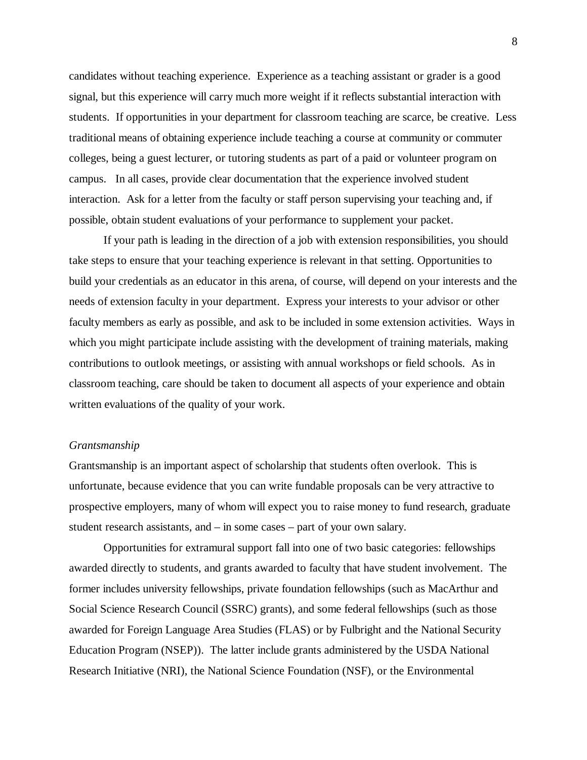candidates without teaching experience. Experience as a teaching assistant or grader is a good signal, but this experience will carry much more weight if it reflects substantial interaction with students. If opportunities in your department for classroom teaching are scarce, be creative. Less traditional means of obtaining experience include teaching a course at community or commuter colleges, being a guest lecturer, or tutoring students as part of a paid or volunteer program on campus. In all cases, provide clear documentation that the experience involved student interaction. Ask for a letter from the faculty or staff person supervising your teaching and, if possible, obtain student evaluations of your performance to supplement your packet.

If your path is leading in the direction of a job with extension responsibilities, you should take steps to ensure that your teaching experience is relevant in that setting. Opportunities to build your credentials as an educator in this arena, of course, will depend on your interests and the needs of extension faculty in your department. Express your interests to your advisor or other faculty members as early as possible, and ask to be included in some extension activities. Ways in which you might participate include assisting with the development of training materials, making contributions to outlook meetings, or assisting with annual workshops or field schools. As in classroom teaching, care should be taken to document all aspects of your experience and obtain written evaluations of the quality of your work.

#### *Grantsmanship*

Grantsmanship is an important aspect of scholarship that students often overlook. This is unfortunate, because evidence that you can write fundable proposals can be very attractive to prospective employers, many of whom will expect you to raise money to fund research, graduate student research assistants, and – in some cases – part of your own salary.

Opportunities for extramural support fall into one of two basic categories: fellowships awarded directly to students, and grants awarded to faculty that have student involvement. The former includes university fellowships, private foundation fellowships (such as MacArthur and Social Science Research Council (SSRC) grants), and some federal fellowships (such as those awarded for Foreign Language Area Studies (FLAS) or by Fulbright and the National Security Education Program (NSEP)). The latter include grants administered by the USDA National Research Initiative (NRI), the National Science Foundation (NSF), or the Environmental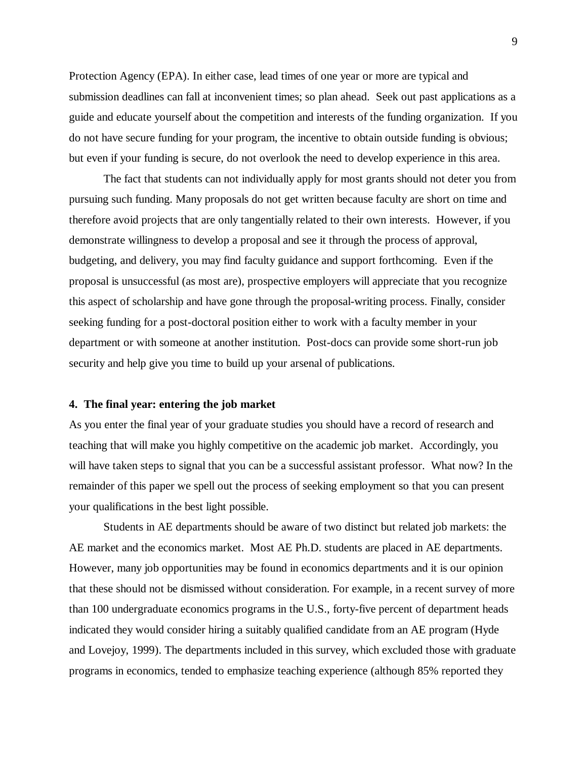Protection Agency (EPA). In either case, lead times of one year or more are typical and submission deadlines can fall at inconvenient times; so plan ahead. Seek out past applications as a guide and educate yourself about the competition and interests of the funding organization. If you do not have secure funding for your program, the incentive to obtain outside funding is obvious; but even if your funding is secure, do not overlook the need to develop experience in this area.

The fact that students can not individually apply for most grants should not deter you from pursuing such funding. Many proposals do not get written because faculty are short on time and therefore avoid projects that are only tangentially related to their own interests. However, if you demonstrate willingness to develop a proposal and see it through the process of approval, budgeting, and delivery, you may find faculty guidance and support forthcoming. Even if the proposal is unsuccessful (as most are), prospective employers will appreciate that you recognize this aspect of scholarship and have gone through the proposal-writing process. Finally, consider seeking funding for a post-doctoral position either to work with a faculty member in your department or with someone at another institution. Post-docs can provide some short-run job security and help give you time to build up your arsenal of publications.

#### **4. The final year: entering the job market**

As you enter the final year of your graduate studies you should have a record of research and teaching that will make you highly competitive on the academic job market. Accordingly, you will have taken steps to signal that you can be a successful assistant professor. What now? In the remainder of this paper we spell out the process of seeking employment so that you can present your qualifications in the best light possible.

Students in AE departments should be aware of two distinct but related job markets: the AE market and the economics market. Most AE Ph.D. students are placed in AE departments. However, many job opportunities may be found in economics departments and it is our opinion that these should not be dismissed without consideration. For example, in a recent survey of more than 100 undergraduate economics programs in the U.S., forty-five percent of department heads indicated they would consider hiring a suitably qualified candidate from an AE program (Hyde and Lovejoy, 1999). The departments included in this survey, which excluded those with graduate programs in economics, tended to emphasize teaching experience (although 85% reported they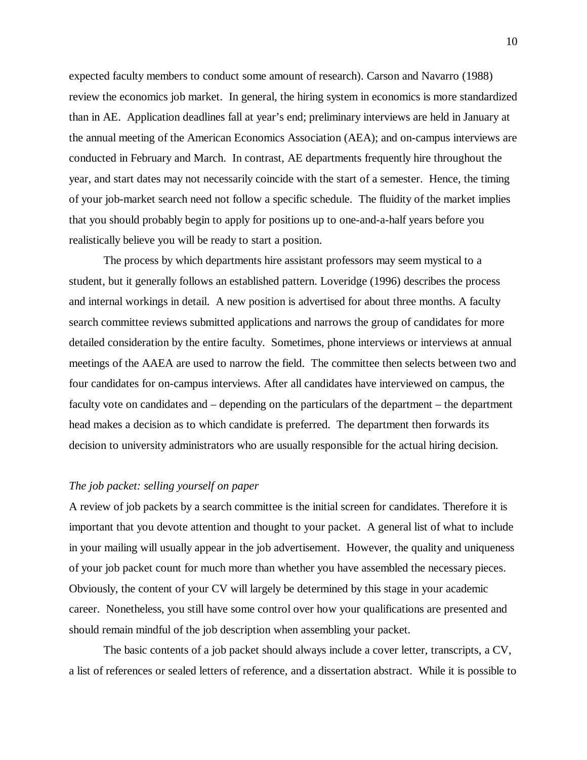expected faculty members to conduct some amount of research). Carson and Navarro (1988) review the economics job market. In general, the hiring system in economics is more standardized than in AE. Application deadlines fall at year's end; preliminary interviews are held in January at the annual meeting of the American Economics Association (AEA); and on-campus interviews are conducted in February and March. In contrast, AE departments frequently hire throughout the year, and start dates may not necessarily coincide with the start of a semester. Hence, the timing of your job-market search need not follow a specific schedule. The fluidity of the market implies that you should probably begin to apply for positions up to one-and-a-half years before you realistically believe you will be ready to start a position.

The process by which departments hire assistant professors may seem mystical to a student, but it generally follows an established pattern. Loveridge (1996) describes the process and internal workings in detail. A new position is advertised for about three months. A faculty search committee reviews submitted applications and narrows the group of candidates for more detailed consideration by the entire faculty. Sometimes, phone interviews or interviews at annual meetings of the AAEA are used to narrow the field. The committee then selects between two and four candidates for on-campus interviews. After all candidates have interviewed on campus, the faculty vote on candidates and – depending on the particulars of the department – the department head makes a decision as to which candidate is preferred. The department then forwards its decision to university administrators who are usually responsible for the actual hiring decision.

# *The job packet: selling yourself on paper*

A review of job packets by a search committee is the initial screen for candidates. Therefore it is important that you devote attention and thought to your packet. A general list of what to include in your mailing will usually appear in the job advertisement. However, the quality and uniqueness of your job packet count for much more than whether you have assembled the necessary pieces. Obviously, the content of your CV will largely be determined by this stage in your academic career. Nonetheless, you still have some control over how your qualifications are presented and should remain mindful of the job description when assembling your packet.

The basic contents of a job packet should always include a cover letter, transcripts, a CV, a list of references or sealed letters of reference, and a dissertation abstract. While it is possible to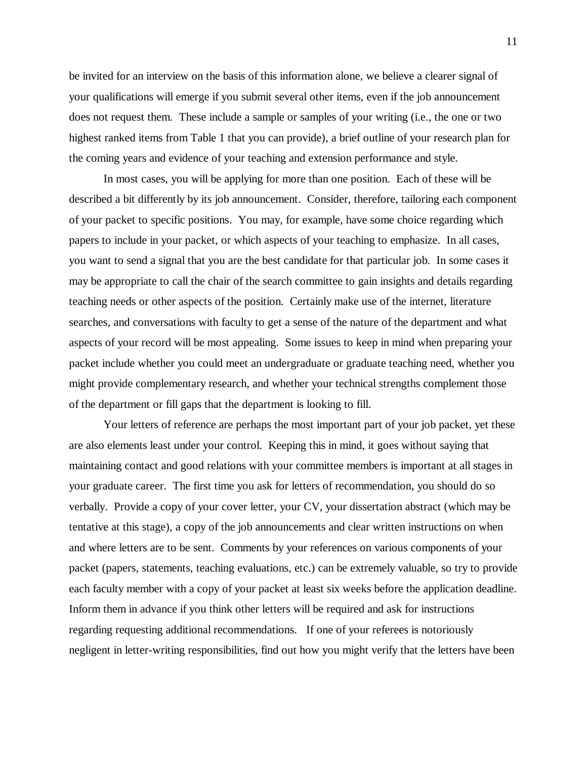be invited for an interview on the basis of this information alone, we believe a clearer signal of your qualifications will emerge if you submit several other items, even if the job announcement does not request them. These include a sample or samples of your writing (i.e., the one or two highest ranked items from Table 1 that you can provide), a brief outline of your research plan for the coming years and evidence of your teaching and extension performance and style.

In most cases, you will be applying for more than one position. Each of these will be described a bit differently by its job announcement. Consider, therefore, tailoring each component of your packet to specific positions. You may, for example, have some choice regarding which papers to include in your packet, or which aspects of your teaching to emphasize. In all cases, you want to send a signal that you are the best candidate for that particular job. In some cases it may be appropriate to call the chair of the search committee to gain insights and details regarding teaching needs or other aspects of the position. Certainly make use of the internet, literature searches, and conversations with faculty to get a sense of the nature of the department and what aspects of your record will be most appealing. Some issues to keep in mind when preparing your packet include whether you could meet an undergraduate or graduate teaching need, whether you might provide complementary research, and whether your technical strengths complement those of the department or fill gaps that the department is looking to fill.

Your letters of reference are perhaps the most important part of your job packet, yet these are also elements least under your control. Keeping this in mind, it goes without saying that maintaining contact and good relations with your committee members is important at all stages in your graduate career. The first time you ask for letters of recommendation, you should do so verbally. Provide a copy of your cover letter, your CV, your dissertation abstract (which may be tentative at this stage), a copy of the job announcements and clear written instructions on when and where letters are to be sent. Comments by your references on various components of your packet (papers, statements, teaching evaluations, etc.) can be extremely valuable, so try to provide each faculty member with a copy of your packet at least six weeks before the application deadline. Inform them in advance if you think other letters will be required and ask for instructions regarding requesting additional recommendations. If one of your referees is notoriously negligent in letter-writing responsibilities, find out how you might verify that the letters have been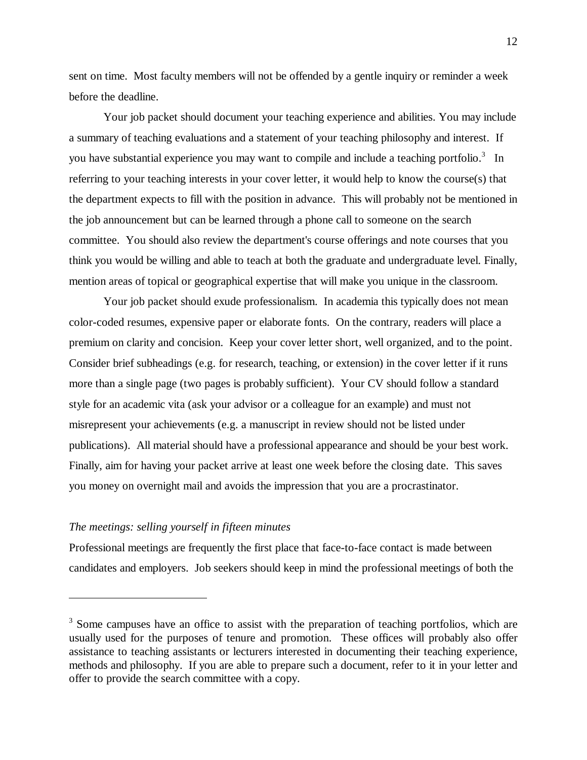sent on time. Most faculty members will not be offended by a gentle inquiry or reminder a week before the deadline.

Your job packet should document your teaching experience and abilities. You may include a summary of teaching evaluations and a statement of your teaching philosophy and interest. If you have substantial experience you may want to compile and include a teaching portfolio.<sup>3</sup> In referring to your teaching interests in your cover letter, it would help to know the course(s) that the department expects to fill with the position in advance. This will probably not be mentioned in the job announcement but can be learned through a phone call to someone on the search committee. You should also review the department's course offerings and note courses that you think you would be willing and able to teach at both the graduate and undergraduate level. Finally, mention areas of topical or geographical expertise that will make you unique in the classroom.

Your job packet should exude professionalism. In academia this typically does not mean color-coded resumes, expensive paper or elaborate fonts. On the contrary, readers will place a premium on clarity and concision. Keep your cover letter short, well organized, and to the point. Consider brief subheadings (e.g. for research, teaching, or extension) in the cover letter if it runs more than a single page (two pages is probably sufficient). Your CV should follow a standard style for an academic vita (ask your advisor or a colleague for an example) and must not misrepresent your achievements (e.g. a manuscript in review should not be listed under publications). All material should have a professional appearance and should be your best work. Finally, aim for having your packet arrive at least one week before the closing date. This saves you money on overnight mail and avoids the impression that you are a procrastinator.

# *The meetings: selling yourself in fifteen minutes*

 $\overline{a}$ 

Professional meetings are frequently the first place that face-to-face contact is made between candidates and employers. Job seekers should keep in mind the professional meetings of both the

<sup>&</sup>lt;sup>3</sup> Some campuses have an office to assist with the preparation of teaching portfolios, which are usually used for the purposes of tenure and promotion. These offices will probably also offer assistance to teaching assistants or lecturers interested in documenting their teaching experience, methods and philosophy. If you are able to prepare such a document, refer to it in your letter and offer to provide the search committee with a copy.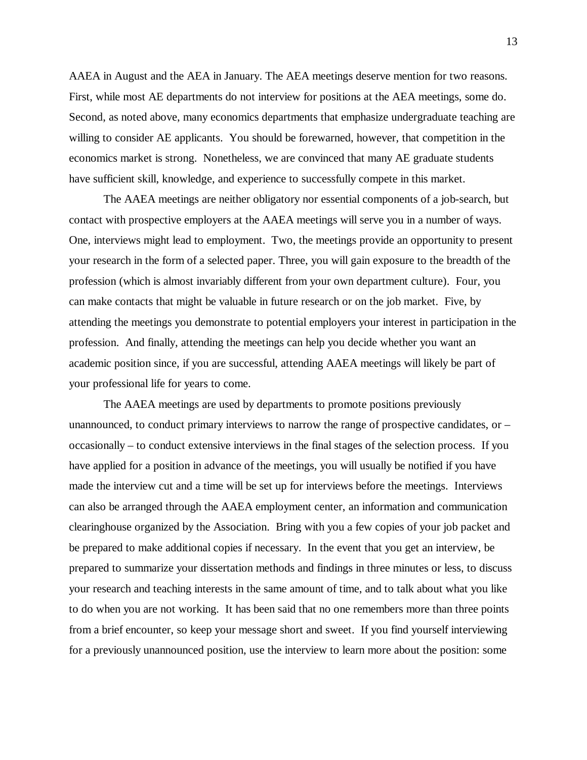AAEA in August and the AEA in January. The AEA meetings deserve mention for two reasons. First, while most AE departments do not interview for positions at the AEA meetings, some do. Second, as noted above, many economics departments that emphasize undergraduate teaching are willing to consider AE applicants. You should be forewarned, however, that competition in the economics market is strong. Nonetheless, we are convinced that many AE graduate students have sufficient skill, knowledge, and experience to successfully compete in this market.

 The AAEA meetings are neither obligatory nor essential components of a job-search, but contact with prospective employers at the AAEA meetings will serve you in a number of ways. One, interviews might lead to employment. Two, the meetings provide an opportunity to present your research in the form of a selected paper. Three, you will gain exposure to the breadth of the profession (which is almost invariably different from your own department culture). Four, you can make contacts that might be valuable in future research or on the job market. Five, by attending the meetings you demonstrate to potential employers your interest in participation in the profession. And finally, attending the meetings can help you decide whether you want an academic position since, if you are successful, attending AAEA meetings will likely be part of your professional life for years to come.

The AAEA meetings are used by departments to promote positions previously unannounced, to conduct primary interviews to narrow the range of prospective candidates, or – occasionally – to conduct extensive interviews in the final stages of the selection process. If you have applied for a position in advance of the meetings, you will usually be notified if you have made the interview cut and a time will be set up for interviews before the meetings. Interviews can also be arranged through the AAEA employment center, an information and communication clearinghouse organized by the Association. Bring with you a few copies of your job packet and be prepared to make additional copies if necessary. In the event that you get an interview, be prepared to summarize your dissertation methods and findings in three minutes or less, to discuss your research and teaching interests in the same amount of time, and to talk about what you like to do when you are not working. It has been said that no one remembers more than three points from a brief encounter, so keep your message short and sweet. If you find yourself interviewing for a previously unannounced position, use the interview to learn more about the position: some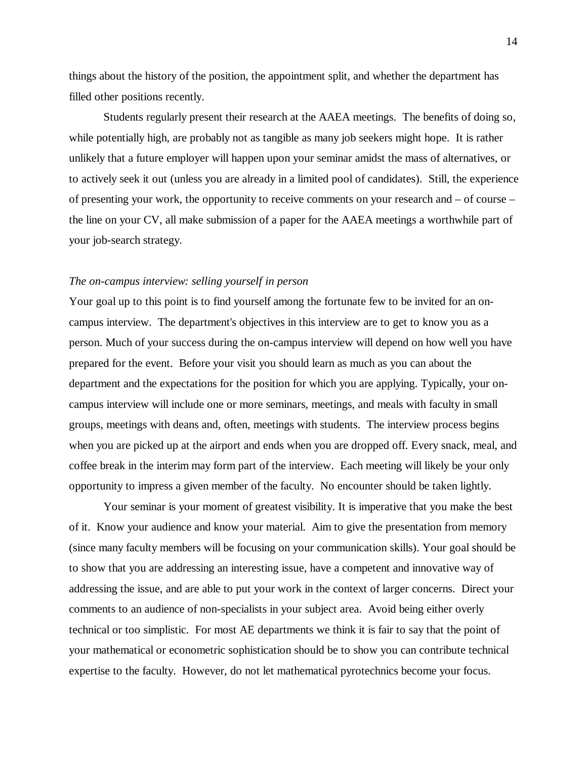things about the history of the position, the appointment split, and whether the department has filled other positions recently.

Students regularly present their research at the AAEA meetings. The benefits of doing so, while potentially high, are probably not as tangible as many job seekers might hope. It is rather unlikely that a future employer will happen upon your seminar amidst the mass of alternatives, or to actively seek it out (unless you are already in a limited pool of candidates). Still, the experience of presenting your work, the opportunity to receive comments on your research and – of course – the line on your CV, all make submission of a paper for the AAEA meetings a worthwhile part of your job-search strategy.

#### *The on-campus interview: selling yourself in person*

Your goal up to this point is to find yourself among the fortunate few to be invited for an oncampus interview. The department's objectives in this interview are to get to know you as a person. Much of your success during the on-campus interview will depend on how well you have prepared for the event. Before your visit you should learn as much as you can about the department and the expectations for the position for which you are applying. Typically, your oncampus interview will include one or more seminars, meetings, and meals with faculty in small groups, meetings with deans and, often, meetings with students. The interview process begins when you are picked up at the airport and ends when you are dropped off. Every snack, meal, and coffee break in the interim may form part of the interview. Each meeting will likely be your only opportunity to impress a given member of the faculty. No encounter should be taken lightly.

Your seminar is your moment of greatest visibility. It is imperative that you make the best of it. Know your audience and know your material. Aim to give the presentation from memory (since many faculty members will be focusing on your communication skills). Your goal should be to show that you are addressing an interesting issue, have a competent and innovative way of addressing the issue, and are able to put your work in the context of larger concerns. Direct your comments to an audience of non-specialists in your subject area. Avoid being either overly technical or too simplistic. For most AE departments we think it is fair to say that the point of your mathematical or econometric sophistication should be to show you can contribute technical expertise to the faculty. However, do not let mathematical pyrotechnics become your focus.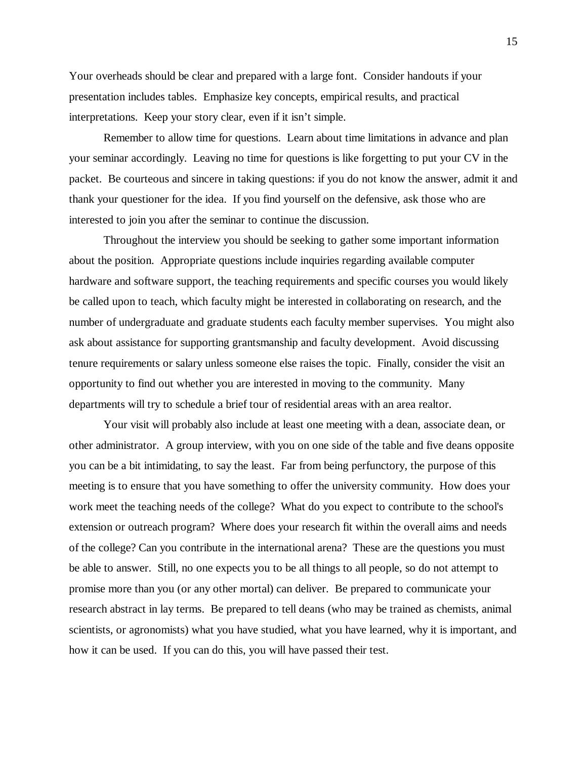Your overheads should be clear and prepared with a large font. Consider handouts if your presentation includes tables. Emphasize key concepts, empirical results, and practical interpretations. Keep your story clear, even if it isn't simple.

Remember to allow time for questions. Learn about time limitations in advance and plan your seminar accordingly. Leaving no time for questions is like forgetting to put your CV in the packet. Be courteous and sincere in taking questions: if you do not know the answer, admit it and thank your questioner for the idea. If you find yourself on the defensive, ask those who are interested to join you after the seminar to continue the discussion.

Throughout the interview you should be seeking to gather some important information about the position. Appropriate questions include inquiries regarding available computer hardware and software support, the teaching requirements and specific courses you would likely be called upon to teach, which faculty might be interested in collaborating on research, and the number of undergraduate and graduate students each faculty member supervises. You might also ask about assistance for supporting grantsmanship and faculty development. Avoid discussing tenure requirements or salary unless someone else raises the topic. Finally, consider the visit an opportunity to find out whether you are interested in moving to the community. Many departments will try to schedule a brief tour of residential areas with an area realtor.

Your visit will probably also include at least one meeting with a dean, associate dean, or other administrator. A group interview, with you on one side of the table and five deans opposite you can be a bit intimidating, to say the least. Far from being perfunctory, the purpose of this meeting is to ensure that you have something to offer the university community. How does your work meet the teaching needs of the college? What do you expect to contribute to the school's extension or outreach program? Where does your research fit within the overall aims and needs of the college? Can you contribute in the international arena? These are the questions you must be able to answer. Still, no one expects you to be all things to all people, so do not attempt to promise more than you (or any other mortal) can deliver. Be prepared to communicate your research abstract in lay terms. Be prepared to tell deans (who may be trained as chemists, animal scientists, or agronomists) what you have studied, what you have learned, why it is important, and how it can be used. If you can do this, you will have passed their test.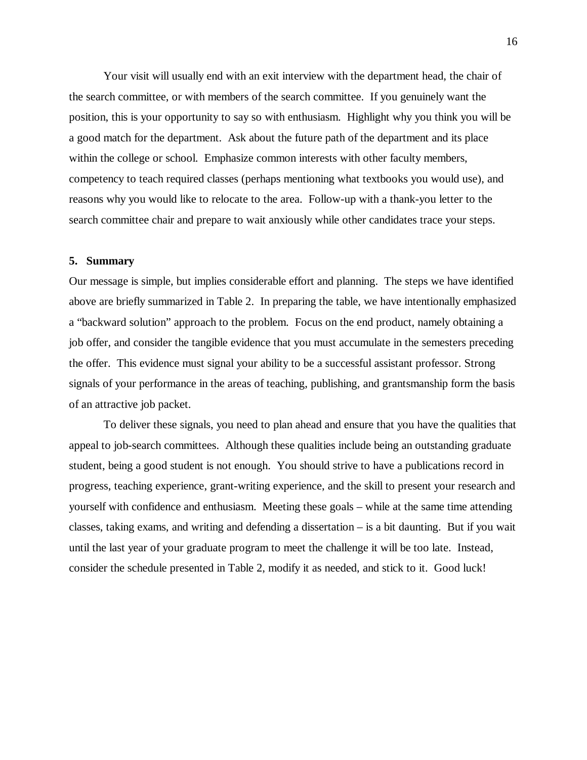Your visit will usually end with an exit interview with the department head, the chair of the search committee, or with members of the search committee. If you genuinely want the position, this is your opportunity to say so with enthusiasm. Highlight why you think you will be a good match for the department. Ask about the future path of the department and its place within the college or school. Emphasize common interests with other faculty members, competency to teach required classes (perhaps mentioning what textbooks you would use), and reasons why you would like to relocate to the area. Follow-up with a thank-you letter to the search committee chair and prepare to wait anxiously while other candidates trace your steps.

#### **5. Summary**

Our message is simple, but implies considerable effort and planning. The steps we have identified above are briefly summarized in Table 2. In preparing the table, we have intentionally emphasized a "backward solution" approach to the problem. Focus on the end product, namely obtaining a job offer, and consider the tangible evidence that you must accumulate in the semesters preceding the offer. This evidence must signal your ability to be a successful assistant professor. Strong signals of your performance in the areas of teaching, publishing, and grantsmanship form the basis of an attractive job packet.

To deliver these signals, you need to plan ahead and ensure that you have the qualities that appeal to job-search committees. Although these qualities include being an outstanding graduate student, being a good student is not enough. You should strive to have a publications record in progress, teaching experience, grant-writing experience, and the skill to present your research and yourself with confidence and enthusiasm. Meeting these goals – while at the same time attending classes, taking exams, and writing and defending a dissertation – is a bit daunting. But if you wait until the last year of your graduate program to meet the challenge it will be too late. Instead, consider the schedule presented in Table 2, modify it as needed, and stick to it. Good luck!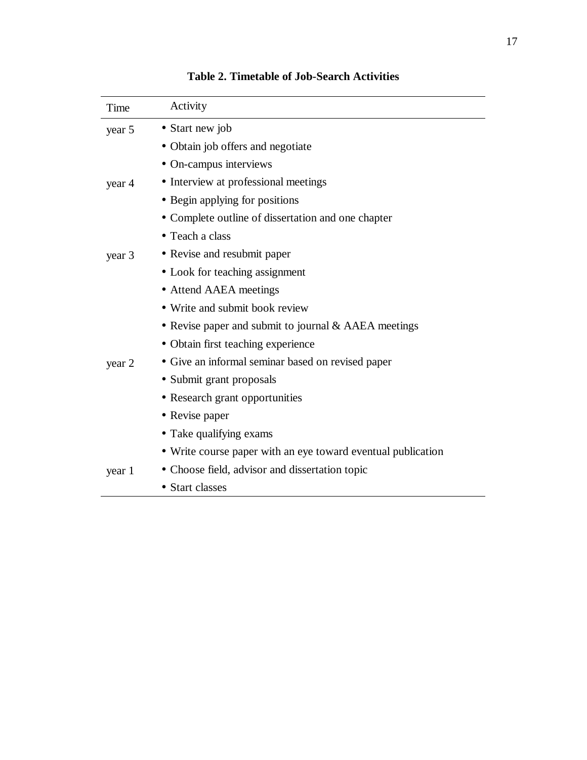| Time   | Activity                                                     |
|--------|--------------------------------------------------------------|
| year 5 | • Start new job                                              |
|        | • Obtain job offers and negotiate                            |
|        | • On-campus interviews                                       |
| year 4 | • Interview at professional meetings                         |
|        | • Begin applying for positions                               |
|        | • Complete outline of dissertation and one chapter           |
|        | • Teach a class                                              |
| year 3 | • Revise and resubmit paper                                  |
|        | • Look for teaching assignment                               |
|        | • Attend AAEA meetings                                       |
|        | • Write and submit book review                               |
|        | • Revise paper and submit to journal $\&$ AAEA meetings      |
|        | • Obtain first teaching experience                           |
| year 2 | • Give an informal seminar based on revised paper            |
|        | • Submit grant proposals                                     |
|        | • Research grant opportunities                               |
|        | • Revise paper                                               |
|        | • Take qualifying exams                                      |
|        | • Write course paper with an eye toward eventual publication |
| year 1 | • Choose field, advisor and dissertation topic               |
|        | • Start classes                                              |

# **Table 2. Timetable of Job-Search Activities**